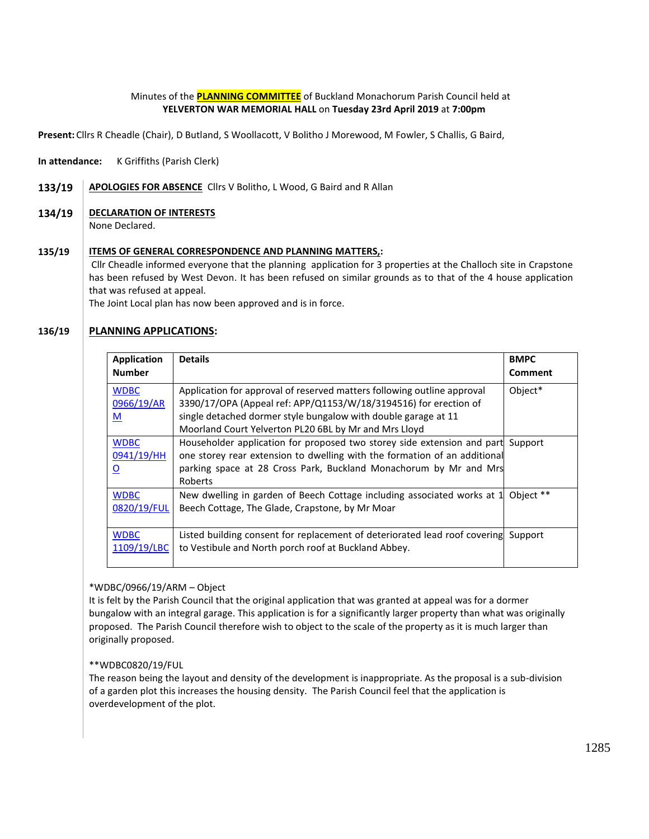### Minutes of the **PLANNING COMMITTEE** of Buckland Monachorum Parish Council held at **YELVERTON WAR MEMORIAL HALL** on **Tuesday 23rd April 2019** at **7:00pm**

**Present:** Cllrs R Cheadle (Chair), D Butland, S Woollacott, V Bolitho J Morewood, M Fowler, S Challis, G Baird,

**In attendance:** K Griffiths (Parish Clerk)

133/19 | APOLOGIES FOR ABSENCE Cllrs V Bolitho, L Wood, G Baird and R Allan

### **134/19 DECLARATION OF INTERESTS**

None Declared.

#### **135/19 ITEMS OF GENERAL CORRESPONDENCE AND PLANNING MATTERS,:**

Cllr Cheadle informed everyone that the planning application for 3 properties at the Challoch site in Crapstone has been refused by West Devon. It has been refused on similar grounds as to that of the 4 house application that was refused at appeal.

The Joint Local plan has now been approved and is in force.

#### **136/19 PLANNING APPLICATIONS:**

| Application<br><b>Number</b>                         | <b>Details</b>                                                                                                                                                                                                                                                         | <b>BMPC</b><br><b>Comment</b> |
|------------------------------------------------------|------------------------------------------------------------------------------------------------------------------------------------------------------------------------------------------------------------------------------------------------------------------------|-------------------------------|
| <b>WDBC</b><br>0966/19/AR<br>M                       | Application for approval of reserved matters following outline approval<br>3390/17/OPA (Appeal ref: APP/Q1153/W/18/3194516) for erection of<br>single detached dormer style bungalow with double garage at 11<br>Moorland Court Yelverton PL20 6BL by Mr and Mrs Lloyd | Object*                       |
| <b>WDBC</b><br>0941/19/HH<br>$\overline{\mathbf{o}}$ | Householder application for proposed two storey side extension and part<br>one storey rear extension to dwelling with the formation of an additional<br>parking space at 28 Cross Park, Buckland Monachorum by Mr and Mrs<br>Roberts                                   | Support                       |
| <b>WDBC</b><br>0820/19/FUL                           | New dwelling in garden of Beech Cottage including associated works at 1<br>Beech Cottage, The Glade, Crapstone, by Mr Moar                                                                                                                                             | Object **                     |
| <b>WDBC</b><br>1109/19/LBC                           | Listed building consent for replacement of deteriorated lead roof covering<br>to Vestibule and North porch roof at Buckland Abbey.                                                                                                                                     | Support                       |

\*WDBC/0966/19/ARM – Object

It is felt by the Parish Council that the original application that was granted at appeal was for a dormer bungalow with an integral garage. This application is for a significantly larger property than what was originally proposed. The Parish Council therefore wish to object to the scale of the property as it is much larger than originally proposed.

### \*\*WDBC0820/19/FUL

The reason being the layout and density of the development is inappropriate. As the proposal is a sub-division of a garden plot this increases the housing density. The Parish Council feel that the application is overdevelopment of the plot.